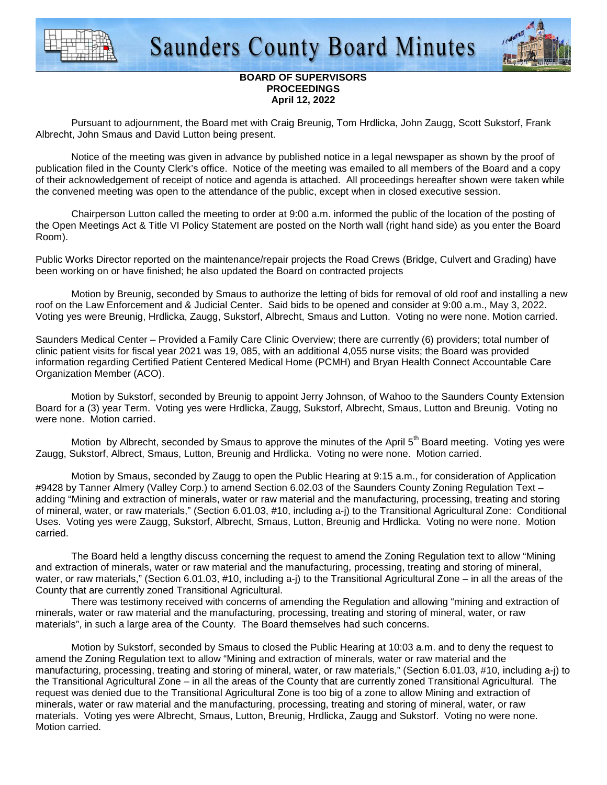



## **BOARD OF SUPERVISORS PROCEEDINGS April 12, 2022**

 Pursuant to adjournment, the Board met with Craig Breunig, Tom Hrdlicka, John Zaugg, Scott Sukstorf, Frank Albrecht, John Smaus and David Lutton being present.

 Notice of the meeting was given in advance by published notice in a legal newspaper as shown by the proof of publication filed in the County Clerk's office. Notice of the meeting was emailed to all members of the Board and a copy of their acknowledgement of receipt of notice and agenda is attached. All proceedings hereafter shown were taken while the convened meeting was open to the attendance of the public, except when in closed executive session.

 Chairperson Lutton called the meeting to order at 9:00 a.m. informed the public of the location of the posting of the Open Meetings Act & Title VI Policy Statement are posted on the North wall (right hand side) as you enter the Board Room).

Public Works Director reported on the maintenance/repair projects the Road Crews (Bridge, Culvert and Grading) have been working on or have finished; he also updated the Board on contracted projects

Motion by Breunig, seconded by Smaus to authorize the letting of bids for removal of old roof and installing a new roof on the Law Enforcement and & Judicial Center. Said bids to be opened and consider at 9:00 a.m., May 3, 2022. Voting yes were Breunig, Hrdlicka, Zaugg, Sukstorf, Albrecht, Smaus and Lutton. Voting no were none. Motion carried.

Saunders Medical Center – Provided a Family Care Clinic Overview; there are currently (6) providers; total number of clinic patient visits for fiscal year 2021 was 19, 085, with an additional 4,055 nurse visits; the Board was provided information regarding Certified Patient Centered Medical Home (PCMH) and Bryan Health Connect Accountable Care Organization Member (ACO).

Motion by Sukstorf, seconded by Breunig to appoint Jerry Johnson, of Wahoo to the Saunders County Extension Board for a (3) year Term. Voting yes were Hrdlicka, Zaugg, Sukstorf, Albrecht, Smaus, Lutton and Breunig. Voting no were none. Motion carried.

Motion by Albrecht, seconded by Smaus to approve the minutes of the April 5<sup>th</sup> Board meeting. Voting yes were Zaugg, Sukstorf, Albrect, Smaus, Lutton, Breunig and Hrdlicka. Voting no were none. Motion carried.

 Motion by Smaus, seconded by Zaugg to open the Public Hearing at 9:15 a.m., for consideration of Application #9428 by Tanner Almery (Valley Corp.) to amend Section 6.02.03 of the Saunders County Zoning Regulation Text – adding "Mining and extraction of minerals, water or raw material and the manufacturing, processing, treating and storing of mineral, water, or raw materials," (Section 6.01.03, #10, including a-j) to the Transitional Agricultural Zone: Conditional Uses. Voting yes were Zaugg, Sukstorf, Albrecht, Smaus, Lutton, Breunig and Hrdlicka. Voting no were none. Motion carried.

 The Board held a lengthy discuss concerning the request to amend the Zoning Regulation text to allow "Mining and extraction of minerals, water or raw material and the manufacturing, processing, treating and storing of mineral, water, or raw materials," (Section 6.01.03, #10, including a-j) to the Transitional Agricultural Zone – in all the areas of the County that are currently zoned Transitional Agricultural.

 There was testimony received with concerns of amending the Regulation and allowing "mining and extraction of minerals, water or raw material and the manufacturing, processing, treating and storing of mineral, water, or raw materials", in such a large area of the County. The Board themselves had such concerns.

 Motion by Sukstorf, seconded by Smaus to closed the Public Hearing at 10:03 a.m. and to deny the request to amend the Zoning Regulation text to allow "Mining and extraction of minerals, water or raw material and the manufacturing, processing, treating and storing of mineral, water, or raw materials," (Section 6.01.03, #10, including a-j) to the Transitional Agricultural Zone – in all the areas of the County that are currently zoned Transitional Agricultural. The request was denied due to the Transitional Agricultural Zone is too big of a zone to allow Mining and extraction of minerals, water or raw material and the manufacturing, processing, treating and storing of mineral, water, or raw materials. Voting yes were Albrecht, Smaus, Lutton, Breunig, Hrdlicka, Zaugg and Sukstorf. Voting no were none. Motion carried.